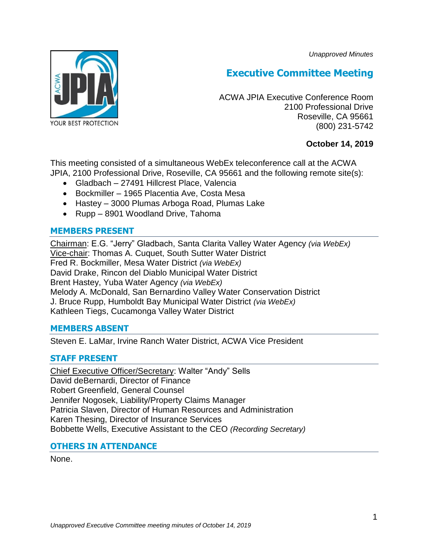*Unapproved Minutes*



# **Executive Committee Meeting**

ACWA JPIA Executive Conference Room 2100 Professional Drive Roseville, CA 95661 (800) 231-5742

## **October 14, 2019**

This meeting consisted of a simultaneous WebEx teleconference call at the ACWA JPIA, 2100 Professional Drive, Roseville, CA 95661 and the following remote site(s):

- Gladbach 27491 Hillcrest Place, Valencia
- Bockmiller 1965 Placentia Ave, Costa Mesa
- Hastey 3000 Plumas Arboga Road, Plumas Lake
- Rupp 8901 Woodland Drive, Tahoma

## **MEMBERS PRESENT**

Chairman: E.G. "Jerry" Gladbach, Santa Clarita Valley Water Agency *(via WebEx)* Vice-chair: Thomas A. Cuquet, South Sutter Water District Fred R. Bockmiller, Mesa Water District *(via WebEx)* David Drake, Rincon del Diablo Municipal Water District Brent Hastey, Yuba Water Agency *(via WebEx)* Melody A. McDonald, San Bernardino Valley Water Conservation District J. Bruce Rupp, Humboldt Bay Municipal Water District *(via WebEx)* Kathleen Tiegs, Cucamonga Valley Water District

## **MEMBERS ABSENT**

Steven E. LaMar, Irvine Ranch Water District, ACWA Vice President

## **STAFF PRESENT**

Chief Executive Officer/Secretary: Walter "Andy" Sells David deBernardi, Director of Finance Robert Greenfield, General Counsel Jennifer Nogosek, Liability/Property Claims Manager Patricia Slaven, Director of Human Resources and Administration Karen Thesing, Director of Insurance Services Bobbette Wells, Executive Assistant to the CEO *(Recording Secretary)*

## **OTHERS IN ATTENDANCE**

None.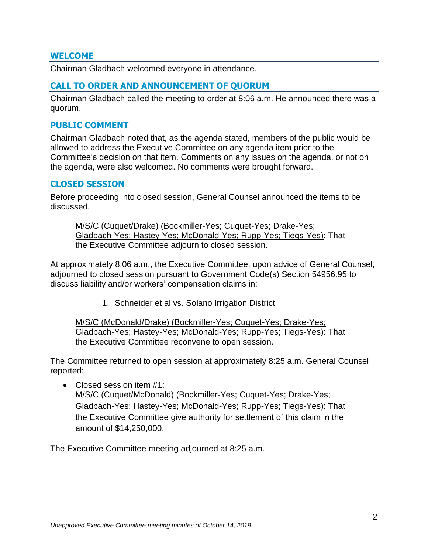### **WELCOME**

Chairman Gladbach welcomed everyone in attendance.

### **CALL TO ORDER AND ANNOUNCEMENT OF QUORUM**

Chairman Gladbach called the meeting to order at 8:06 a.m. He announced there was a quorum.

#### **PUBLIC COMMENT**

Chairman Gladbach noted that, as the agenda stated, members of the public would be allowed to address the Executive Committee on any agenda item prior to the Committee's decision on that item. Comments on any issues on the agenda, or not on the agenda, were also welcomed. No comments were brought forward.

#### **CLOSED SESSION**

Before proceeding into closed session, General Counsel announced the items to be discussed.

M/S/C (Cuquet/Drake) (Bockmiller-Yes; Cuquet-Yes; Drake-Yes; Gladbach-Yes; Hastey-Yes; McDonald-Yes; Rupp-Yes; Tiegs-Yes): That the Executive Committee adjourn to closed session.

At approximately 8:06 a.m., the Executive Committee, upon advice of General Counsel, adjourned to closed session pursuant to Government Code(s) Section 54956.95 to discuss liability and/or workers' compensation claims in:

1. Schneider et al vs. Solano Irrigation District

M/S/C (McDonald/Drake) (Bockmiller-Yes; Cuquet-Yes; Drake-Yes; Gladbach-Yes; Hastey-Yes; McDonald-Yes; Rupp-Yes; Tiegs-Yes): That the Executive Committee reconvene to open session.

The Committee returned to open session at approximately 8:25 a.m. General Counsel reported:

• Closed session item #1: M/S/C (Cuquet/McDonald) (Bockmiller-Yes; Cuquet-Yes; Drake-Yes; Gladbach-Yes; Hastey-Yes; McDonald-Yes; Rupp-Yes; Tiegs-Yes): That the Executive Committee give authority for settlement of this claim in the amount of \$14,250,000.

The Executive Committee meeting adjourned at 8:25 a.m.